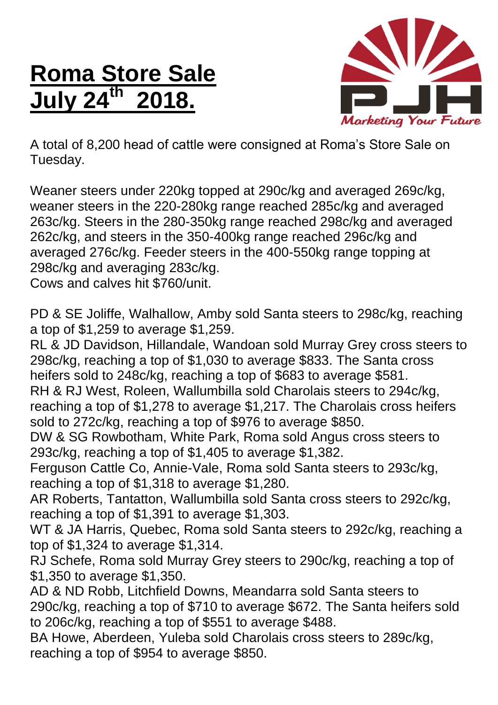## **Roma Store Sale July 24th 2018.**



A total of 8,200 head of cattle were consigned at Roma's Store Sale on Tuesday.

Weaner steers under 220kg topped at 290c/kg and averaged 269c/kg, weaner steers in the 220-280kg range reached 285c/kg and averaged 263c/kg. Steers in the 280-350kg range reached 298c/kg and averaged 262c/kg, and steers in the 350-400kg range reached 296c/kg and averaged 276c/kg. Feeder steers in the 400-550kg range topping at 298c/kg and averaging 283c/kg.

Cows and calves hit \$760/unit.

PD & SE Joliffe, Walhallow, Amby sold Santa steers to 298c/kg, reaching a top of \$1,259 to average \$1,259.

RL & JD Davidson, Hillandale, Wandoan sold Murray Grey cross steers to 298c/kg, reaching a top of \$1,030 to average \$833. The Santa cross heifers sold to 248c/kg, reaching a top of \$683 to average \$581. RH & RJ West, Roleen, Wallumbilla sold Charolais steers to 294c/kg,

reaching a top of \$1,278 to average \$1,217. The Charolais cross heifers sold to 272c/kg, reaching a top of \$976 to average \$850.

DW & SG Rowbotham, White Park, Roma sold Angus cross steers to 293c/kg, reaching a top of \$1,405 to average \$1,382.

Ferguson Cattle Co, Annie-Vale, Roma sold Santa steers to 293c/kg, reaching a top of \$1,318 to average \$1,280.

AR Roberts, Tantatton, Wallumbilla sold Santa cross steers to 292c/kg, reaching a top of \$1,391 to average \$1,303.

WT & JA Harris, Quebec, Roma sold Santa steers to 292c/kg, reaching a top of \$1,324 to average \$1,314.

RJ Schefe, Roma sold Murray Grey steers to 290c/kg, reaching a top of \$1,350 to average \$1,350.

AD & ND Robb, Litchfield Downs, Meandarra sold Santa steers to 290c/kg, reaching a top of \$710 to average \$672. The Santa heifers sold to 206c/kg, reaching a top of \$551 to average \$488.

BA Howe, Aberdeen, Yuleba sold Charolais cross steers to 289c/kg, reaching a top of \$954 to average \$850.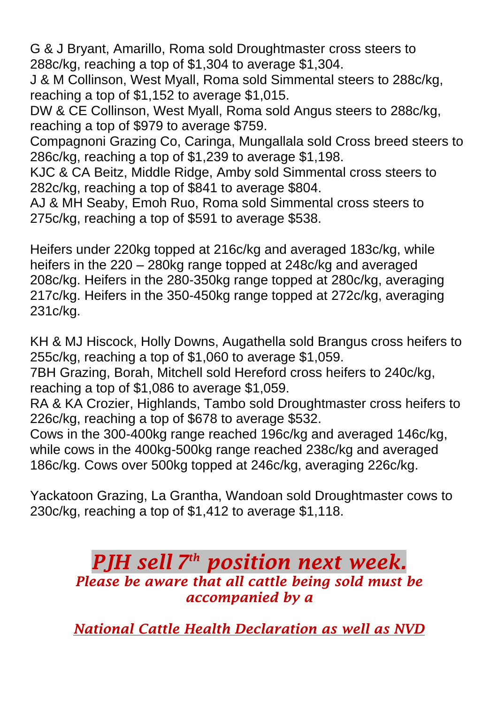G & J Bryant, Amarillo, Roma sold Droughtmaster cross steers to 288c/kg, reaching a top of \$1,304 to average \$1,304.

J & M Collinson, West Myall, Roma sold Simmental steers to 288c/kg, reaching a top of \$1,152 to average \$1,015.

DW & CE Collinson, West Myall, Roma sold Angus steers to 288c/kg, reaching a top of \$979 to average \$759.

Compagnoni Grazing Co, Caringa, Mungallala sold Cross breed steers to 286c/kg, reaching a top of \$1,239 to average \$1,198.

KJC & CA Beitz, Middle Ridge, Amby sold Simmental cross steers to 282c/kg, reaching a top of \$841 to average \$804.

AJ & MH Seaby, Emoh Ruo, Roma sold Simmental cross steers to 275c/kg, reaching a top of \$591 to average \$538.

Heifers under 220kg topped at 216c/kg and averaged 183c/kg, while heifers in the 220 – 280kg range topped at 248c/kg and averaged 208c/kg. Heifers in the 280-350kg range topped at 280c/kg, averaging 217c/kg. Heifers in the 350-450kg range topped at 272c/kg, averaging 231c/kg.

KH & MJ Hiscock, Holly Downs, Augathella sold Brangus cross heifers to 255c/kg, reaching a top of \$1,060 to average \$1,059.

7BH Grazing, Borah, Mitchell sold Hereford cross heifers to 240c/kg, reaching a top of \$1,086 to average \$1,059.

RA & KA Crozier, Highlands, Tambo sold Droughtmaster cross heifers to 226c/kg, reaching a top of \$678 to average \$532.

Cows in the 300-400kg range reached 196c/kg and averaged 146c/kg, while cows in the 400kg-500kg range reached 238c/kg and averaged 186c/kg. Cows over 500kg topped at 246c/kg, averaging 226c/kg.

Yackatoon Grazing, La Grantha, Wandoan sold Droughtmaster cows to 230c/kg, reaching a top of \$1,412 to average \$1,118.

## *PJH sell 7 th position next week. Please be aware that all cattle being sold must be accompanied by a*

*National Cattle Health Declaration as well as NVD*